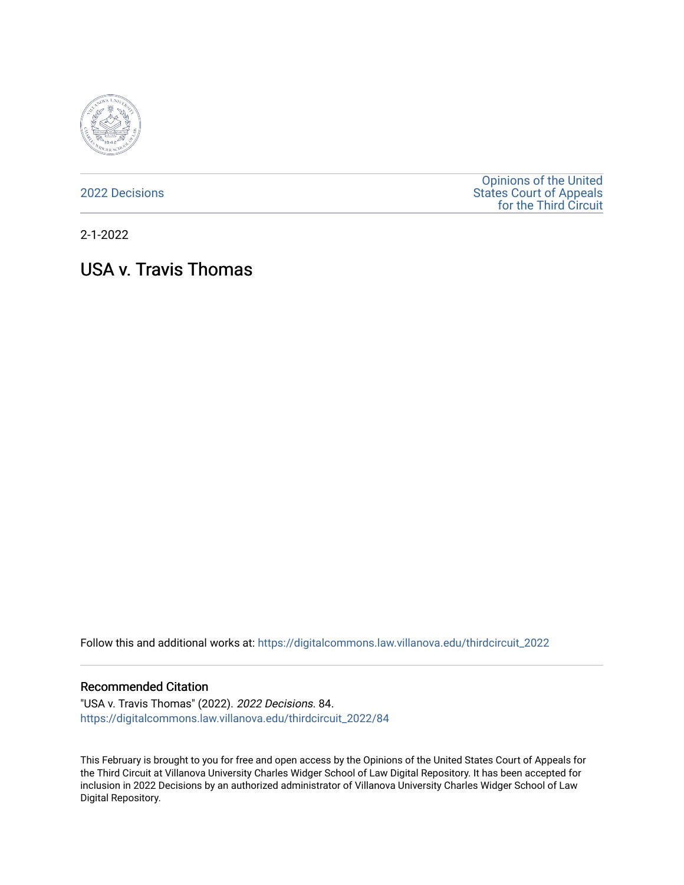

[2022 Decisions](https://digitalcommons.law.villanova.edu/thirdcircuit_2022)

[Opinions of the United](https://digitalcommons.law.villanova.edu/thirdcircuit)  [States Court of Appeals](https://digitalcommons.law.villanova.edu/thirdcircuit)  [for the Third Circuit](https://digitalcommons.law.villanova.edu/thirdcircuit) 

2-1-2022

# USA v. Travis Thomas

Follow this and additional works at: [https://digitalcommons.law.villanova.edu/thirdcircuit\\_2022](https://digitalcommons.law.villanova.edu/thirdcircuit_2022?utm_source=digitalcommons.law.villanova.edu%2Fthirdcircuit_2022%2F84&utm_medium=PDF&utm_campaign=PDFCoverPages) 

#### Recommended Citation

"USA v. Travis Thomas" (2022). 2022 Decisions. 84. [https://digitalcommons.law.villanova.edu/thirdcircuit\\_2022/84](https://digitalcommons.law.villanova.edu/thirdcircuit_2022/84?utm_source=digitalcommons.law.villanova.edu%2Fthirdcircuit_2022%2F84&utm_medium=PDF&utm_campaign=PDFCoverPages)

This February is brought to you for free and open access by the Opinions of the United States Court of Appeals for the Third Circuit at Villanova University Charles Widger School of Law Digital Repository. It has been accepted for inclusion in 2022 Decisions by an authorized administrator of Villanova University Charles Widger School of Law Digital Repository.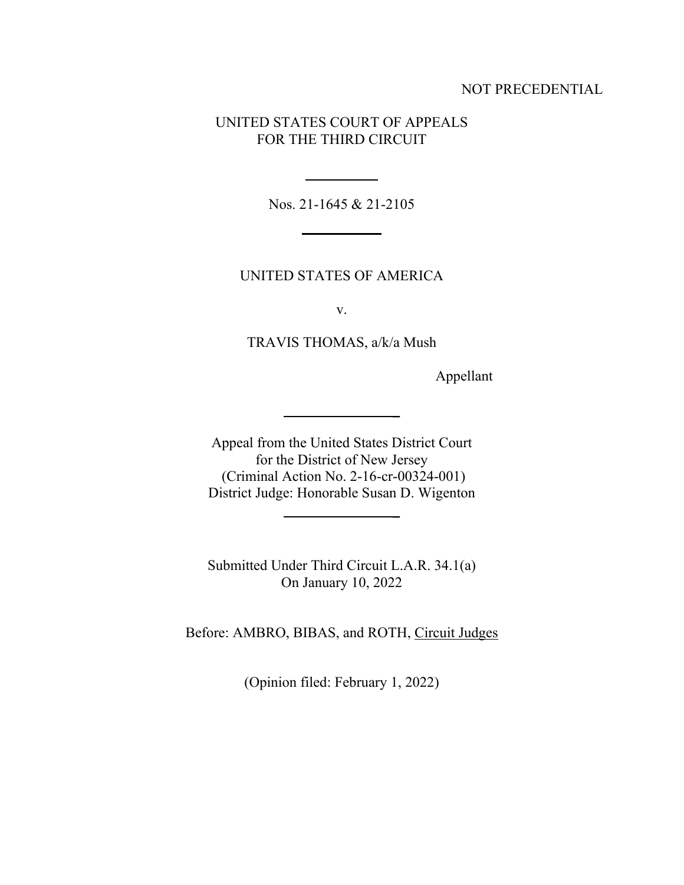### NOT PRECEDENTIAL

## UNITED STATES COURT OF APPEALS FOR THE THIRD CIRCUIT

Nos. 21-1645 & 21-2105

## UNITED STATES OF AMERICA

v.

TRAVIS THOMAS, a/k/a Mush

Appellant

Appeal from the United States District Court for the District of New Jersey (Criminal Action No. 2-16-cr-00324-001) District Judge: Honorable Susan D. Wigenton

**\_**

**\_**

Submitted Under Third Circuit L.A.R. 34.1(a) On January 10, 2022

Before: AMBRO, BIBAS, and ROTH, Circuit Judges

(Opinion filed: February 1, 2022)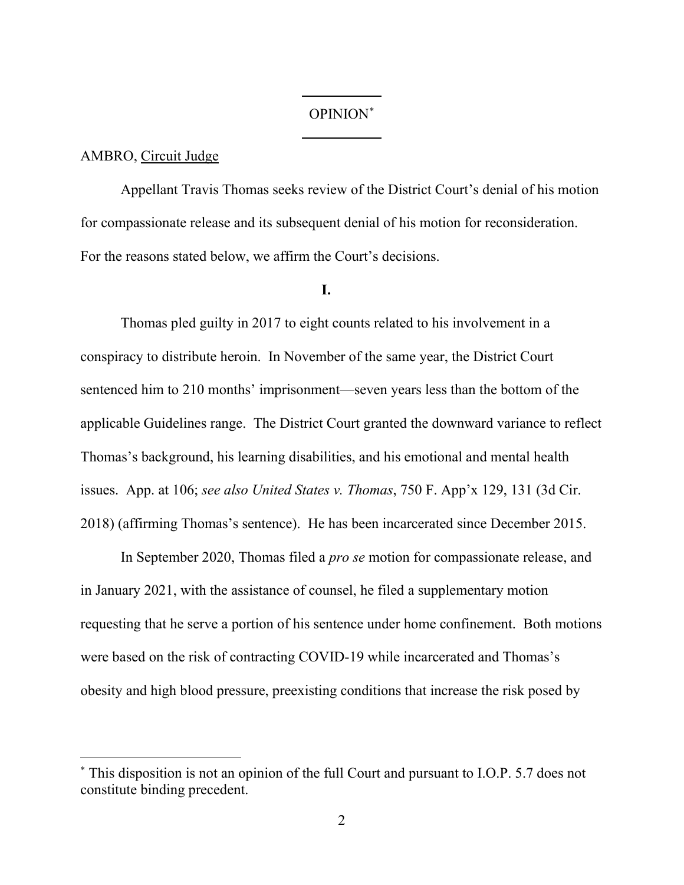# OPINION\*

#### AMBRO, Circuit Judge

Appellant Travis Thomas seeks review of the District Court's denial of his motion for compassionate release and its subsequent denial of his motion for reconsideration. For the reasons stated below, we affirm the Court's decisions.

#### **I.**

Thomas pled guilty in 2017 to eight counts related to his involvement in a conspiracy to distribute heroin. In November of the same year, the District Court sentenced him to 210 months' imprisonment—seven years less than the bottom of the applicable Guidelines range. The District Court granted the downward variance to reflect Thomas's background, his learning disabilities, and his emotional and mental health issues. App. at 106; *see also United States v. Thomas*, 750 F. App'x 129, 131 (3d Cir. 2018) (affirming Thomas's sentence). He has been incarcerated since December 2015.

In September 2020, Thomas filed a *pro se* motion for compassionate release, and in January 2021, with the assistance of counsel, he filed a supplementary motion requesting that he serve a portion of his sentence under home confinement. Both motions were based on the risk of contracting COVID-19 while incarcerated and Thomas's obesity and high blood pressure, preexisting conditions that increase the risk posed by

<sup>\*</sup> This disposition is not an opinion of the full Court and pursuant to I.O.P. 5.7 does not constitute binding precedent.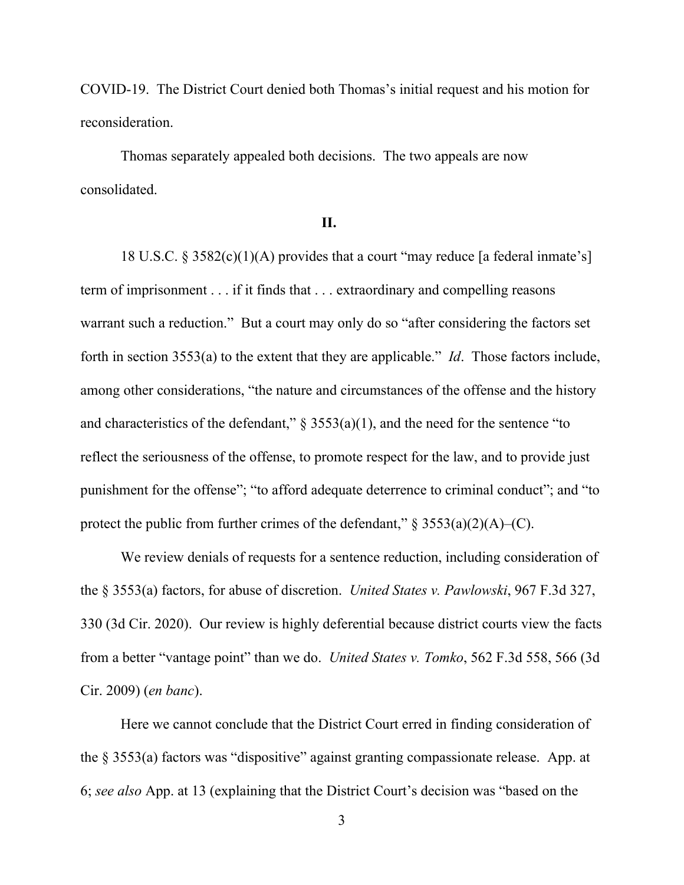COVID-19. The District Court denied both Thomas's initial request and his motion for reconsideration.

Thomas separately appealed both decisions. The two appeals are now consolidated.

# **II.**

18 U.S.C. § 3582(c)(1)(A) provides that a court "may reduce [a federal inmate's] term of imprisonment . . . if it finds that . . . extraordinary and compelling reasons warrant such a reduction." But a court may only do so "after considering the factors set forth in section 3553(a) to the extent that they are applicable." *Id*. Those factors include, among other considerations, "the nature and circumstances of the offense and the history and characteristics of the defendant,"  $\S$  3553(a)(1), and the need for the sentence "to reflect the seriousness of the offense, to promote respect for the law, and to provide just punishment for the offense"; "to afford adequate deterrence to criminal conduct"; and "to protect the public from further crimes of the defendant,"  $\S$  3553(a)(2)(A)–(C).

We review denials of requests for a sentence reduction, including consideration of the § 3553(a) factors, for abuse of discretion. *United States v. Pawlowski*, 967 F.3d 327, 330 (3d Cir. 2020). Our review is highly deferential because district courts view the facts from a better "vantage point" than we do. *United States v. Tomko*, 562 F.3d 558, 566 (3d Cir. 2009) (*en banc*).

Here we cannot conclude that the District Court erred in finding consideration of the § 3553(a) factors was "dispositive" against granting compassionate release. App. at 6; *see also* App. at 13 (explaining that the District Court's decision was "based on the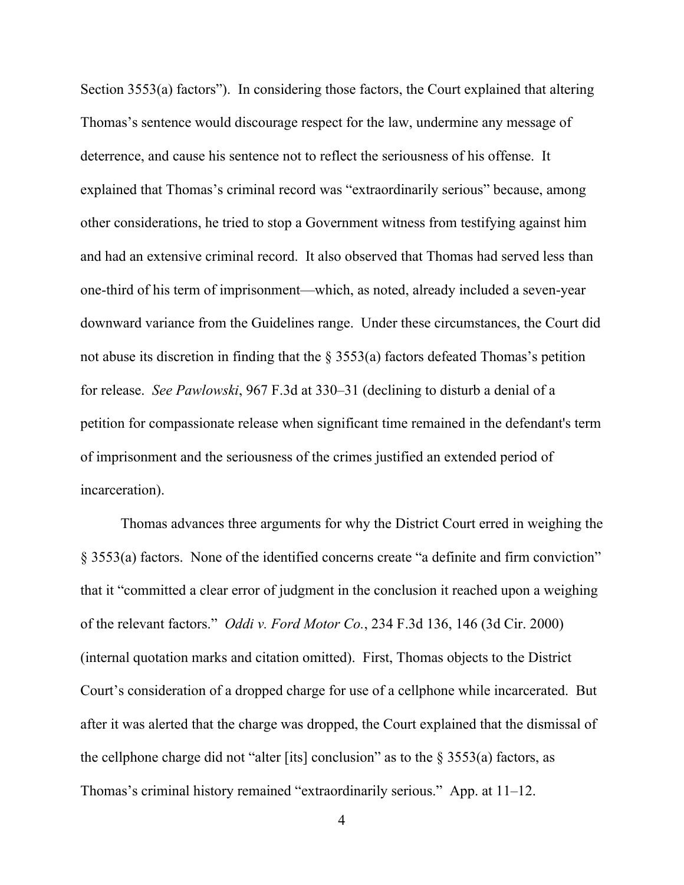Section 3553(a) factors"). In considering those factors, the Court explained that altering Thomas's sentence would discourage respect for the law, undermine any message of deterrence, and cause his sentence not to reflect the seriousness of his offense. It explained that Thomas's criminal record was "extraordinarily serious" because, among other considerations, he tried to stop a Government witness from testifying against him and had an extensive criminal record. It also observed that Thomas had served less than one-third of his term of imprisonment—which, as noted, already included a seven-year downward variance from the Guidelines range. Under these circumstances, the Court did not abuse its discretion in finding that the  $\S$  3553(a) factors defeated Thomas's petition for release. *See Pawlowski*, 967 F.3d at 330–31 (declining to disturb a denial of a petition for compassionate release when significant time remained in the defendant's term of imprisonment and the seriousness of the crimes justified an extended period of incarceration).

Thomas advances three arguments for why the District Court erred in weighing the § 3553(a) factors. None of the identified concerns create "a definite and firm conviction" that it "committed a clear error of judgment in the conclusion it reached upon a weighing of the relevant factors." *Oddi v. Ford Motor Co.*, 234 F.3d 136, 146 (3d Cir. 2000) (internal quotation marks and citation omitted). First, Thomas objects to the District Court's consideration of a dropped charge for use of a cellphone while incarcerated. But after it was alerted that the charge was dropped, the Court explained that the dismissal of the cellphone charge did not "alter [its] conclusion" as to the  $\S 3553(a)$  factors, as Thomas's criminal history remained "extraordinarily serious." App. at 11–12.

4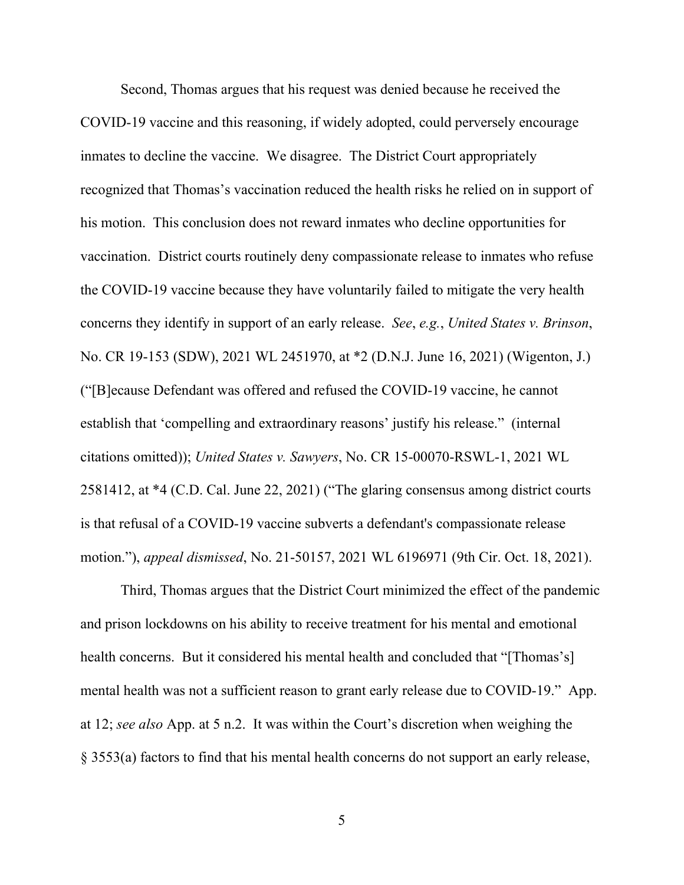Second, Thomas argues that his request was denied because he received the COVID-19 vaccine and this reasoning, if widely adopted, could perversely encourage inmates to decline the vaccine. We disagree. The District Court appropriately recognized that Thomas's vaccination reduced the health risks he relied on in support of his motion. This conclusion does not reward inmates who decline opportunities for vaccination. District courts routinely deny compassionate release to inmates who refuse the COVID-19 vaccine because they have voluntarily failed to mitigate the very health concerns they identify in support of an early release. *See*, *e.g.*, *United States v. Brinson*, No. CR 19-153 (SDW), 2021 WL 2451970, at \*2 (D.N.J. June 16, 2021) (Wigenton, J.) ("[B]ecause Defendant was offered and refused the COVID-19 vaccine, he cannot establish that 'compelling and extraordinary reasons' justify his release." (internal citations omitted)); *United States v. Sawyers*, No. CR 15-00070-RSWL-1, 2021 WL 2581412, at \*4 (C.D. Cal. June 22, 2021) ("The glaring consensus among district courts is that refusal of a COVID-19 vaccine subverts a defendant's compassionate release motion."), *appeal dismissed*, No. 21-50157, 2021 WL 6196971 (9th Cir. Oct. 18, 2021).

Third, Thomas argues that the District Court minimized the effect of the pandemic and prison lockdowns on his ability to receive treatment for his mental and emotional health concerns. But it considered his mental health and concluded that "[Thomas's] mental health was not a sufficient reason to grant early release due to COVID-19." App. at 12; *see also* App. at 5 n.2. It was within the Court's discretion when weighing the § 3553(a) factors to find that his mental health concerns do not support an early release,

5